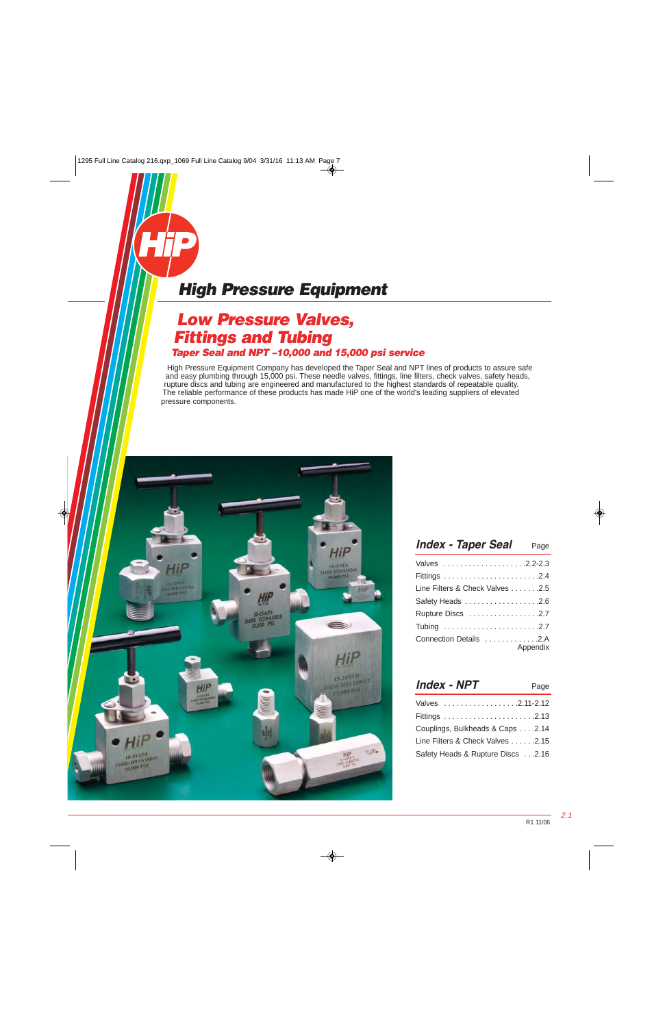### **Low Pressure Valves, Fittings and Tubing Taper Seal and NPT –10,000 and 15,000 psi service**

High Pressure Equipment Company has developed the Taper Seal and NPT lines of products to assure safe and easy plumbing through 15,000 psi. These needle valves, fittings, line filters, check valves, safety heads, rupture discs and tubing are engineered and manufactured to the highest standards of repeatable quality. The reliable performance of these products has made HiP one of the world's leading suppliers of elevated pressure components.



| <b>Index - Taper Seal</b> Page  |          |
|---------------------------------|----------|
|                                 |          |
|                                 |          |
| Line Filters & Check Valves 2.5 |          |
| Safety Heads 2.6                |          |
|                                 |          |
|                                 |          |
| Connection Details 2.A          | Appendix |

| Valves 2.11-2.12                  |
|-----------------------------------|
|                                   |
| Couplings, Bulkheads & Caps 2.14  |
| Line Filters & Check Valves 2.15  |
| Safety Heads & Rupture Discs 2.16 |

2.1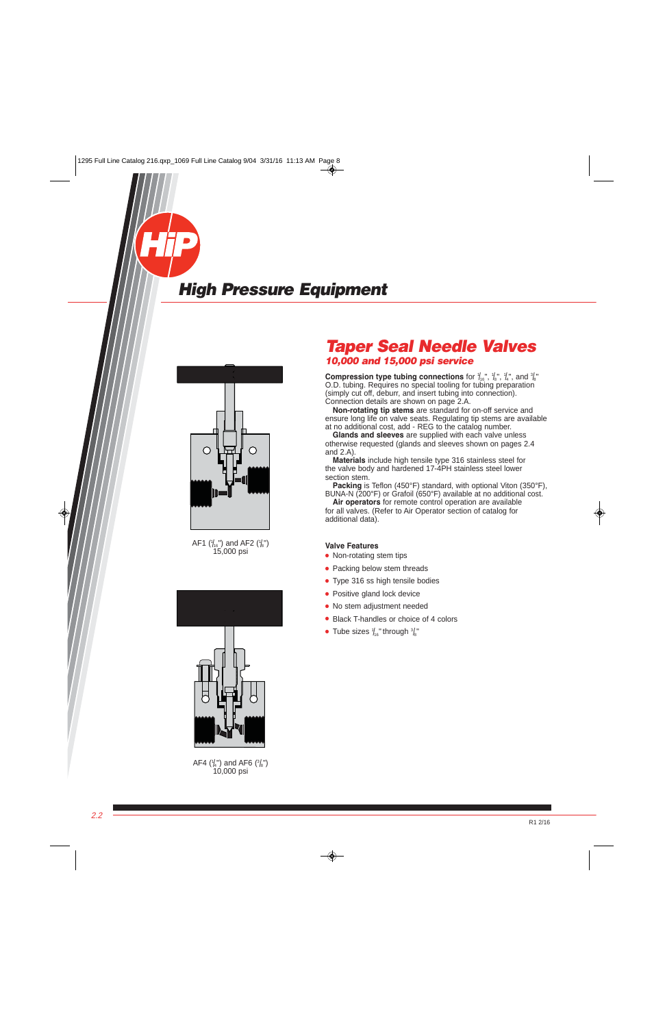<span id="page-1-0"></span>

AF1 ( $\frac{1}{16}$ ") and AF2 ( $\frac{1}{8}$ ") 15,000 psi



AF4  $\binom{1}{4}$  and AF6  $\binom{3}{8}$ ") 10,000 psi

### **Taper Seal Needle Valves 10,000 and 15,000 psi service**

**Compression type tubing connections** for  $\frac{1}{16}$ ,  $\frac{1}{8}$ ,  $\frac{1}{8}$ ,  $\frac{1}{4}$ , and  $\frac{3}{8}$ O.D. tubing. Requires no special tooling for tubing preparation (simply cut off, deburr, and insert tubing into connection). Connection details are shown on page 2.A.

 **Non-rotating tip stems** are standard for on-off service and ensure long life on valve seats. Regulating tip stems are available at no additional cost, add - REG to the catalog number.

 **Glands and sleeves** are supplied with each valve unless otherwise requested (glands and sleeves shown on pages 2.4 and 2.A).

 **Materials** include high tensile type 316 stainless steel for the valve body and hardened 17-4PH stainless steel lower section stem.

 **Packing** is Teflon (450°F) standard, with optional Viton (350°F), BUNA-N (200°F) or Grafoil (650°F) available at no additional cost.

 **Air operators** for remote control operation are available for all valves. (Refer to Air Operator section of catalog for additional data).

#### **Valve Features**

- Non-rotating stem tips
- Packing below stem threads
- Type 316 ss high tensile bodies
- Positive gland lock device
- No stem adjustment needed
- Black T-handles or choice of 4 colors
- $\bullet$  Tube sizes  $\frac{1}{16}$ " through  $\frac{3}{8}$ "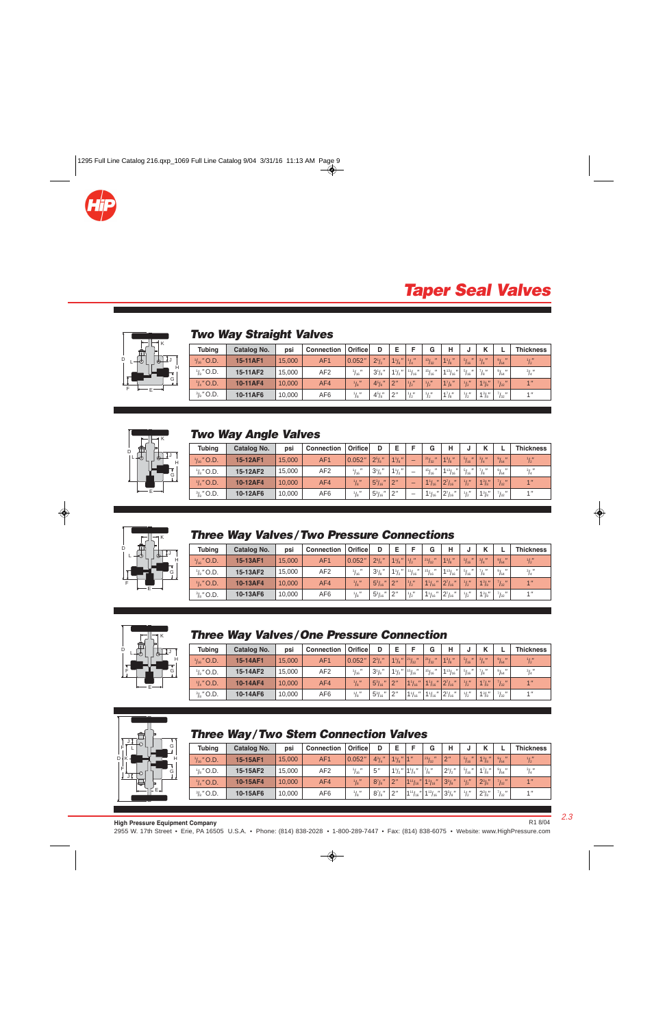

### **Taper Seal Valves**



### **Two Way Straight Valves**

| <b>Tubing</b>         | Catalog No. | psi    | <b>Connection</b> | Orifice         | D                    | E                              | Е             | G                     | н              |                              |                 |                | <b>Thickness</b> |
|-----------------------|-------------|--------|-------------------|-----------------|----------------------|--------------------------------|---------------|-----------------------|----------------|------------------------------|-----------------|----------------|------------------|
| $\frac{1}{16}$ " O.D. | 15-11AF1    | 15,000 | AF <sub>1</sub>   | 0.052"          | $2^{1/2}$            | $\mathbf{u}$<br>$1\frac{1}{8}$ | $^{1}/_{4}$ " | 13/32<br>$\mathbf{u}$ | $1\frac{1}{8}$ | $^{5}/_{16}$<br>$\mathbf{u}$ | $^{3}/_{4}$ "   | 9/64           | $\frac{1}{2}$    |
| $\frac{1}{8}$ " O.D.  | 15-11AF2    | 15,000 | AF <sub>2</sub>   | $^{1}/_{16}$ "  | $3^{1}/s$ "          | $1\frac{1}{2}$                 | 111''<br>116  | $151 -$<br>16         | $1^{13}/_{16}$ | $^{5}/_{16}$                 | 71 <sub>1</sub> | $^{9}/_{64}$ " | $^{3}/_{4}$ "    |
| $\frac{1}{4}$ " O.D.  | 10-11AF4    | 10,000 | AF4               | $^{1}/_{8}$ "   | $4^{5}/\mathrm{s}$ " | 2"                             | $^{1}/_{2}''$ | $\frac{1}{2}$         | $1^{7}/s$      | $\frac{1}{2}$                | $1^{3}/s$       | $^{7}/_{32}$ " | 1 <sup>''</sup>  |
| $\frac{3}{8}$ " O.D.  | 10-11AF6    | 10,000 | AF <sub>6</sub>   | $\frac{1}{8}$ " | $4^{5}/s''$          | 12"                            | $\frac{1}{2}$ | $\frac{1}{2}$         | $1^{7}/s''$    | $\frac{1}{2}$                | $1^{3}/s''$     | $^{7}/_{32}$ " | 1 <sup>''</sup>  |



#### **Two Way Angle Valves**

| <b>Tubing</b>         | Catalog No. | psi    | <b>Connection</b> | Orificel         | D                             |                |                          | G                | н                                                | u                                 |                     |                        | <b>Thickness</b> |
|-----------------------|-------------|--------|-------------------|------------------|-------------------------------|----------------|--------------------------|------------------|--------------------------------------------------|-----------------------------------|---------------------|------------------------|------------------|
| $\frac{1}{16}$ " O.D. | 15-12AF1    | 15,000 | AF <sub>1</sub>   | 0.052"           | $2^{5}/s$ "                   | $1\frac{1}{8}$ |                          | $^{21}/_{32}$ "  | $1^{3}/\mathrm{s}$ "                             | $^{5}/_{16}$ "                    | $^{3}/_{4}$ "       | $^{9}/_{64}$ "         | $\frac{1}{2}$    |
| $\frac{1}{8}$ " O.D.  | 15-12AF2    | 15,000 | AF <sub>2</sub>   | $\frac{1}{16}$ " | $3^{1}/s$                     | $1\frac{1}{2}$ | $\overline{\phantom{a}}$ | $151 -$<br>/16   | $1^{13}/_{16}$                                   | $^{\prime\prime}$<br>$^{5}/_{16}$ | $^{7}/\mathrm{s}$ " | $^{9}/_{64}$ "         | $^{3}/_{4}$ $''$ |
| $\frac{1}{4}$ " O.D.  | 10-12AF4    | 10.000 | AF4               | $\frac{1}{8}$ "  | $\mathbf{u}$<br>$5^{3}/_{16}$ | 2"             | -                        | $\ $<br>$1_{16}$ | $2^{7}/_{16}$ "                                  | $\frac{1}{2}$                     | $1^{3}/s''$         | $\frac{7}{32}$ "       | 1 <sup>''</sup>  |
| $\frac{3}{8}$ " O.D.  | 10-12AF6    | 10.000 | AF6               | $\frac{1}{8}$ "  | $5^{3}/_{16}$                 | 12"            |                          | $1\frac{1}{16}$  | $\frac{1}{6}$ " 2 <sup>7</sup> / <sub>16</sub> " | $1/$ $\mu$                        | $1\frac{3}{8}$ "    | 71 <sub>u</sub><br>132 | 1 <sup>''</sup>  |



### **Three Way Valves/Two Pressure Connections**

| <b>Tubing</b>         | Catalog No. | psi    | <b>Connection</b> | Orifice          | D                                           | Е              | Е             | G                               | н                                |                |               |                                             | <b>Thickness</b> |
|-----------------------|-------------|--------|-------------------|------------------|---------------------------------------------|----------------|---------------|---------------------------------|----------------------------------|----------------|---------------|---------------------------------------------|------------------|
| $\frac{1}{16}$ " O.D. | 15-13AF1    | 15,000 | AF <sub>1</sub>   | 0.052"           | $2^{3}/_{4}$                                | $1\frac{1}{8}$ | $^{1}/_{2}$ " | 21/32                           | $1^{3}/\mathrm{s}$ "             | $^{5}/_{16}$ " | $^{3}/_{4}$ " | $^{9}/_{64}$ "                              | $\frac{1}{2}$    |
| $\frac{1}{8}$ " O.D.  | 15-13AF2    | 15,000 | AF <sub>2</sub>   | $^{1}/_{16}$ "   | $3^{1}/_{8}$                                | $1\frac{1}{2}$ | $11/16$ "     | $151 -$<br>116                  | $^{\prime\prime}$<br>1131<br>/16 | $^{5}/_{16}$   |               | $^{9}/_{64}$ "                              | $^{3}/_{4}$ "    |
| $\frac{1}{4}$ " O.D.  | 10-13AF4    | 10.000 | AF4               | $\frac{1}{8}$    | $\boldsymbol{\mathsf{II}}$<br>$5^{3}/_{16}$ | 2 <sup>n</sup> | $\frac{1}{2}$ | $1\frac{1}{16}$<br>$\mathbf{u}$ | $2^{7}/_{16}$                    | $\frac{1}{2}$  | $1^{3}/s''$   | $\frac{7}{32}$ "                            | 1 <sup>n</sup>   |
| $\frac{3}{8}$ " O.D.  | 10-13AF6    | 10,000 | AF <sub>6</sub>   | $1/$ $\mu$<br>18 | $5^{3}/_{16}$<br>$^{\prime\prime}$          | 2''            | 1/1           | $1_{16}$<br>$^{\prime\prime}$   | $2^7/4$<br>16                    | $1/$ $\mu$     | 131''<br>18   | 7 <sub>1</sub><br>$^{\prime\prime}$<br>/ 32 | 1 <sup>11</sup>  |



#### **Three Way Valves/One Pressure Connection**

| <b>Tubing</b>        | Catalog No. | psi    | <b>Connection</b> | Orifice          |                               |                |                                | G                             | н                                   | υ             |                        |                  | <b>Thickness</b> |
|----------------------|-------------|--------|-------------------|------------------|-------------------------------|----------------|--------------------------------|-------------------------------|-------------------------------------|---------------|------------------------|------------------|------------------|
| $^{1}/_{16}$ " O.D.  | 15-14AF1    | 15,000 | AF <sub>1</sub>   | 0.052"           | $2^{3}/_{4}$ "                | $1\frac{1}{8}$ | $\frac{21}{32}$                | 21/32                         | $1^{3}/\mathrm{s}$ "                | $^{5}/_{16}$  | $^{3}/_{4}$ "          | $^{9}/_{64}$ "   | $\frac{1}{2}$    |
| $\frac{1}{8}$ " O.D. | 15-14AF2    | 15,000 | AF <sub>2</sub>   | $\frac{1}{16}$ " | $3^{1}/s$ "                   | $1^{1}/2$      | 15/16                          | $15/$ $\mu$<br>116            | $1^{13}/_{16}$<br>$^{\prime\prime}$ | 5/<br>16      | $^{7}/\mathrm{s}$ $''$ | $^{9}/_{64}$ "   | $^{3}/_{4}$ "    |
| $\frac{1}{4}$ " O.D. | 10-14AF4    | 10,000 | AF4               | $\frac{1}{8}$ "  | $5^{3}/_{16}$<br>$\mathbf{u}$ | 2"             | $1^{1}/_{16}$                  | $\mathbf{u}$<br>$1^{1}/_{16}$ | $2^{7}/_{16}$ "                     | $\frac{1}{2}$ | $1^{7}/s''$            | 7/32             | 1 <sup>''</sup>  |
| $\frac{3}{8}$ " O.D. | 10-14AF6    | 10,000 | AF6               | $\frac{1}{8}$ "  | $5^{3}/_{16}$                 | 2"             | $^{\prime\prime}$<br>$11_{16}$ | $11_{16}$                     | $2^{7}/_{16}$ "                     | $1/$ $\mu$    | $1^{3}/s''$            | $\frac{7}{32}$ " | 1 <sup>''</sup>  |



### **Three Way/Two Stem Connection Valves**

| <b>Tubing</b>        | Catalog No. | psi    | <b>Connection</b> | Orifice          | D              | E                   | Е            | G                  | н              |                | $\overline{ }$       |                         | <b>Thickness</b> |
|----------------------|-------------|--------|-------------------|------------------|----------------|---------------------|--------------|--------------------|----------------|----------------|----------------------|-------------------------|------------------|
| $1/16$ " O.D.        | 15-15AF1    | 15,000 | AF <sub>1</sub>   | 0.052"           | $4^{3}/_{4}$ " | $1\frac{1}{8}$   1" |              | $\frac{23}{32}$    | 2 <sup>n</sup> | 5/16           | $1^{3}/\mathrm{s}$ " | $^{9}/_{64}$ "          | $^{1}/_{2}$ "    |
| $\frac{1}{8}$ " O.D. | 15-15AF2    | 15,000 | AF <sub>2</sub>   | $\frac{1}{16}$ " | 5''            | $1\frac{1}{2}$      | $1^{1}/4$    | $^{7}/\text{s}$ "  | $2^{1}/2$      | $^{5}/_{16}$ " | $1\frac{7}{8}$       | $^{9}/_{64}$ "          | $^{3}/_{4}$      |
| $\frac{1}{4}$ " O.D. | 10-15AF4    | 10.000 | AF4               | $\frac{1}{8}$    | $8^{7}/_{8}$   | 2"                  | $11^{11}/16$ | 1 <sup>3</sup> /16 | $3^{3}/s$ "    | $\frac{1}{2}$  | $2^{3}/s''$          | $71 -$<br>132           | 4 <sup>  </sup>  |
| $\frac{3}{8}$ " O.D. | 10-15AF6    | 10,000 | AF <sub>6</sub>   | $1/$ $\mu$       | $8^{7}/_{8}$   | 2"                  | 111/<br>/16  | $-11131$<br>116    | $3^{3}/s$ "    | 1/1            | $2^{3}/s''$          | 71 <sub>1</sub><br>/ 32 | 4 <sup>''</sup>  |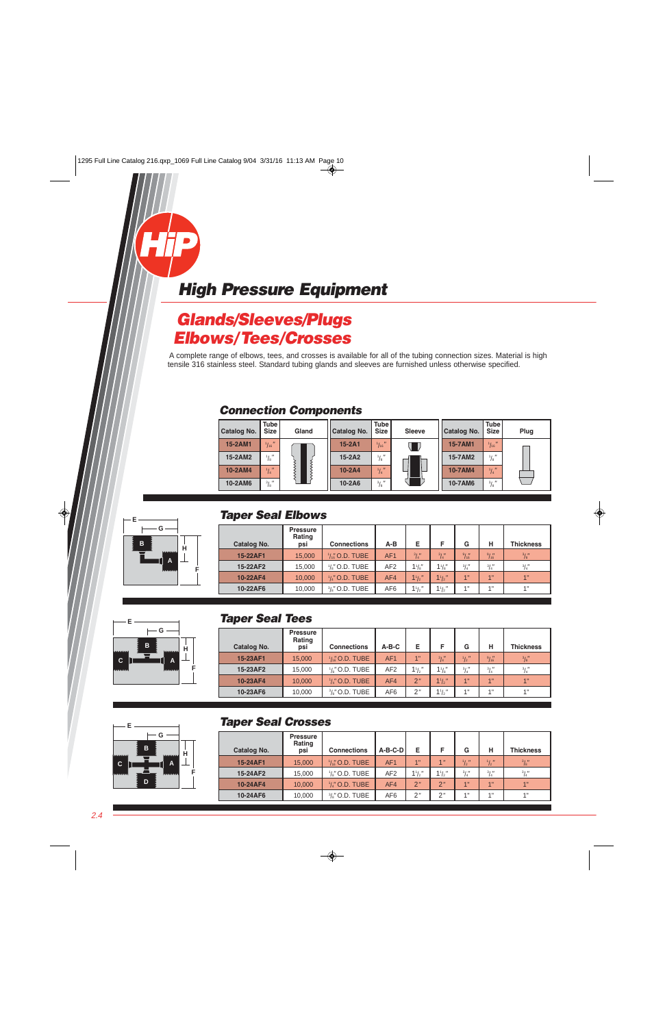### <span id="page-3-0"></span>**Glands/Sleeves/Plugs Elbows/Tees/Crosses**

A complete range of elbows, tees, and crosses is available for all of the tubing connection sizes. Material is high tensile 316 stainless steel. Standard tubing glands and sleeves are furnished unless otherwise specified.

#### **Connection Components**

| Catalog No. | Tube I<br><b>Size</b> | Gland | Catalog No. | <b>Tube</b><br><b>Size</b> | <b>Sleeve</b> | Catalog No. | <b>Tube</b><br><b>Size</b> | Plug |
|-------------|-----------------------|-------|-------------|----------------------------|---------------|-------------|----------------------------|------|
| 15-2AM1     | $\frac{1}{16}$        |       | $15-2A1$    | $\frac{1}{16}$ "           |               | 15-7AM1     | $\frac{1}{16}$             |      |
| 15-2AM2     | $^{1}/_{8}$ "         |       | $15-2A2$    | $^{1}/_{8}$ $''$           |               | 15-7AM2     | $^{1}/_{8}$ "              |      |
| 10-2AM4     | $\frac{1}{4}$         |       | $10-2A4$    | $^{1}/_{4}$ "              |               | 10-7AM4     | $\frac{1}{4}$              |      |
| 10-2AM6     | $^{3}/_{8}$ "         |       | 10-2A6      | $^{3}/_{8}$ $''$           |               | 10-7AM6     | $^{3}/_{8}$ $''$           |      |



**G**

#### **Taper Seal Elbows**

| Catalog No. | <b>Pressure</b><br>Rating<br>psi | <b>Connections</b>        | $A-B$           | E              | F              | G              | н               | <b>Thickness</b> |
|-------------|----------------------------------|---------------------------|-----------------|----------------|----------------|----------------|-----------------|------------------|
| 15-22AF1    | 15,000                           | $\frac{1}{4}$ (0.D. TUBE  | AF <sub>1</sub> | $^{3}/_{4}''$  | $^{3}/_{4}$ "  | $\frac{9}{16}$ | $\frac{9}{16}$  | $^{3}/_{8}$ "    |
| 15-22AF2    | 15,000                           | $\frac{1}{8}$ " O.D. TUBE | AF <sub>2</sub> | $1\frac{1}{8}$ | $1\frac{1}{8}$ | $^{3}/_{4}$ "  | $^{3}/_{4}''$   | $^{3}/_{4}$ "    |
| 10-22AF4    | 10,000                           | $\frac{1}{4}$ " O.D. TUBE | AF4             | $1\frac{1}{2}$ | $1^{1}/2$      | 1"             | 4 <sup>11</sup> | 4 <sup>11</sup>  |
| 10-22AF6    | 10,000                           | $\frac{3}{8}$ " O.D. TUBE | AF <sub>6</sub> | $1^{1}/2$      | $1^{1}/2$      | 4"             | 4H              | 4 <sub>  </sub>  |



| Catalog No. | <b>Pressure</b><br>Rating<br>psi | <b>Connections</b>        | $A-B-C$         | Е         |                | G             | н               | <b>Thickness</b> |
|-------------|----------------------------------|---------------------------|-----------------|-----------|----------------|---------------|-----------------|------------------|
| 15-23AF1    | 15,000                           | $\frac{1}{46}$ O.D. TUBE  | AF <sub>1</sub> | 1"        | $^{3}/_{4}$ "  | $\frac{1}{2}$ | 9/16            | $^{3}/_{8}$ "    |
| 15-23AF2    | 15,000                           | $\frac{1}{8}$ " O.D. TUBE | AF <sub>2</sub> | $1^{1}/2$ | $1\frac{1}{8}$ | $^{3}/_{4}$ " | $^{3}/_{4}$ "   | $^{3}/_{4}$ "    |
| 10-23AF4    | 10,000                           | $\frac{1}{4}$ " O.D. TUBE | AF4             | 2"        | $1\frac{1}{2}$ | 1"            | 1"              | 1"               |
| 10-23AF6    | 10,000                           | $\frac{3}{6}$ " O.D. TUBE | AF <sub>6</sub> | 2"        | $1\frac{1}{2}$ | 4"            | 4 <sub>  </sub> | 4"               |

#### **B A H F G E C D**

**B**

**E**

**C**

**A**

**H**

**F**

#### **Taper Seal Crosses**

| Catalog No. | <b>Pressure</b><br>Rating<br>psi | <b>Connections</b>        | $A-B-C-D$       | Е              | F               | G                  | н                  | <b>Thickness</b> |
|-------------|----------------------------------|---------------------------|-----------------|----------------|-----------------|--------------------|--------------------|------------------|
| 15-24AF1    | 15,000                           | $\frac{1}{16}$ O.D. TUBE  | AF <sub>1</sub> | 1"             | 1 <sup>''</sup> | $\frac{1}{2}$      | $\frac{1}{2}$ "    | $^{3}/_{8}''$    |
| 15-24AF2    | 15,000                           | $\frac{1}{8}$ " O.D. TUBE | AF <sub>2</sub> | $1\frac{1}{2}$ | $1\frac{1}{2}$  | $^{3}/_{4}$ "      | $^{3}/_{4}$ "      | $^{3}/_{4}$ "    |
| 10-24AF4    | 10,000                           | $\frac{1}{4}$ " O.D. TUBE | AF4             | 2"             | 2"              | 4 <sup>11</sup>    | 4 <sub>  </sub>    | 4 <sup>11</sup>  |
| 10-24AF6    | 10,000                           | $\frac{3}{8}$ " O.D. TUBE | AF <sub>6</sub> | 2"             | 2"              | $4$ $\overline{1}$ | $4$ $\overline{1}$ | 4 <sub>  </sub>  |
|             |                                  |                           |                 |                |                 |                    |                    |                  |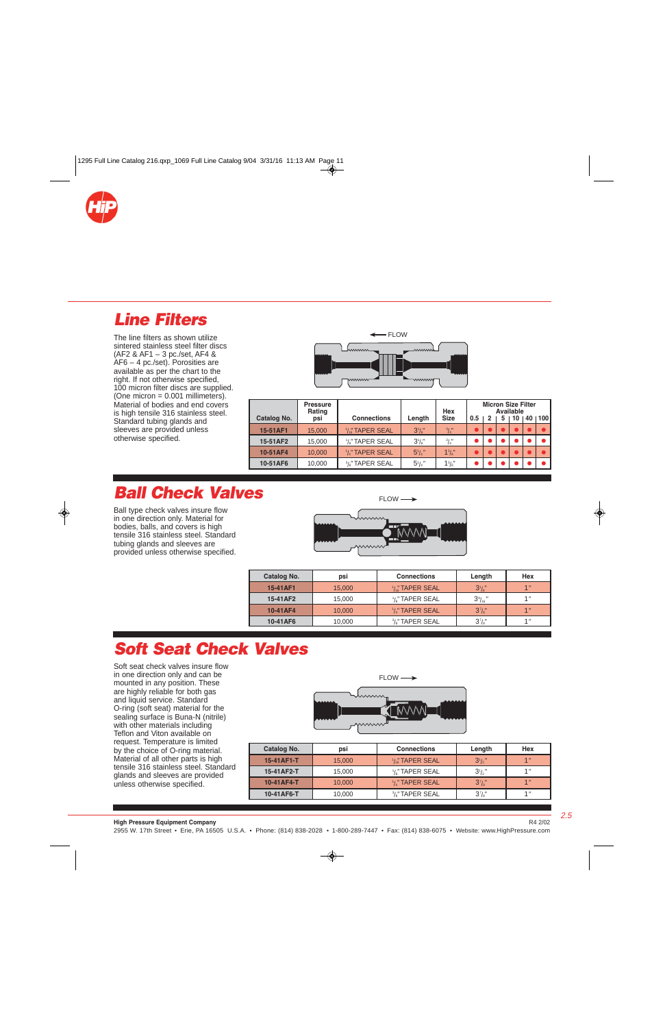<span id="page-4-0"></span>

### **Line Filters**

The line filters as shown utilize sintered stainless steel filter discs (AF2 & AF1 – 3 pc./set, AF4 & AF6 – 4 pc./set). Porosities are available as per the chart to the right. If not otherwise specified, 100 micron filter discs are supplied.  $(One micron = 0.001 millimeters)$ . Material of bodies and end covers is high tensile 316 stainless steel. Standard tubing glands and sleeves are provided unless otherwise specified.



|             | <b>Pressure</b><br>Rating |                                          |                | Hex           | <b>Micron Size Filter</b><br>Available |  |   |    |     |      |
|-------------|---------------------------|------------------------------------------|----------------|---------------|----------------------------------------|--|---|----|-----|------|
| Catalog No. | psi                       | <b>Connections</b>                       | Length         | <b>Size</b>   | 0.5                                    |  | 5 | 10 | 40. | 1100 |
| 15-51AF1    | 15,000                    | $\frac{1}{16}$ TAPER SEAL                | $3^{1}/s$      | $^{3}/_{4}$ " |                                        |  |   |    |     |      |
| 15-51AF2    | 15,000                    | $1/s$ " TAPER SEAL                       | $3^{1}/s''$    | $^{3}/_{4}$ " |                                        |  |   |    |     |      |
| 10-51AF4    | 10,000                    | 1/4" TAPER SEAL                          | $5^{1}/4$ "    | $1^{3}/s''$   |                                        |  |   |    |     |      |
| 10-51AF6    | 10,000                    | <sup>3</sup> / <sub>a</sub> " TAPER SEAL | $5^{1}/_{4}$ " | $1^{3}/s''$   |                                        |  |   |    |     |      |

## **Ball Check Valves**

Ball type check valves insure flow in one direction only. Material for bodies, balls, and covers is high tensile 316 stainless steel. Standard tubing glands and sleeves are provided unless otherwise specified.



| Catalog No. | psi    | <b>Connections</b>                       | Length            | Hex             |
|-------------|--------|------------------------------------------|-------------------|-----------------|
| 15-41AF1    | 15,000 | $1/46$ TAPER SEAL                        | $3^{1}/s$         | 4 <sub>  </sub> |
| 15-41AF2    | 15,000 | <sup>1</sup> /s" TAPER SEAL              | $3\frac{9}{16}$ " | 4 <sub>  </sub> |
| 10-41AF4    | 10,000 | <sup>1</sup> /4" TAPER SEAL              | $3^7/s''$         | 4 <sub>  </sub> |
| 10-41AF6    | 10,000 | <sup>3</sup> / <sub>a</sub> " TAPER SEAL | $3^7/s''$         | 4 <sub>  </sub> |

# **Soft Seat Check Valves**

Soft seat check valves insure flow in one direction only and can be mounted in any position. These are highly reliable for both gas and liquid service. Standard O-ring (soft seat) material for the sealing surface is Buna-N (nitrile) with other materials including Teflon and Viton available on request. Temperature is limited by the choice of O-ring material. Material of all other parts is high tensile 316 stainless steel. Standard glands and sleeves are provided unless otherwise specified.



| Catalog No. | psi    | <b>Connections</b>                       | Length      | Hex             |
|-------------|--------|------------------------------------------|-------------|-----------------|
| 15-41AF1-T  | 15,000 | $\frac{1}{16}$ TAPER SEAL                | $3^{1}/2$   | 1 <sup>''</sup> |
| 15-41AF2-T  | 15,000 | 1/s" TAPER SEAL                          | $3^{1}/2$ " | 4 <sub>  </sub> |
| 10-41AF4-T  | 10,000 | <sup>1</sup> /4" TAPER SEAL              | $3^{7}/s$   | 4 <sup>''</sup> |
| 10-41AF6-T  | 10,000 | <sup>3</sup> / <sub>a</sub> " TAPER SEAL | $3^7/s''$   | 4 <sub>  </sub> |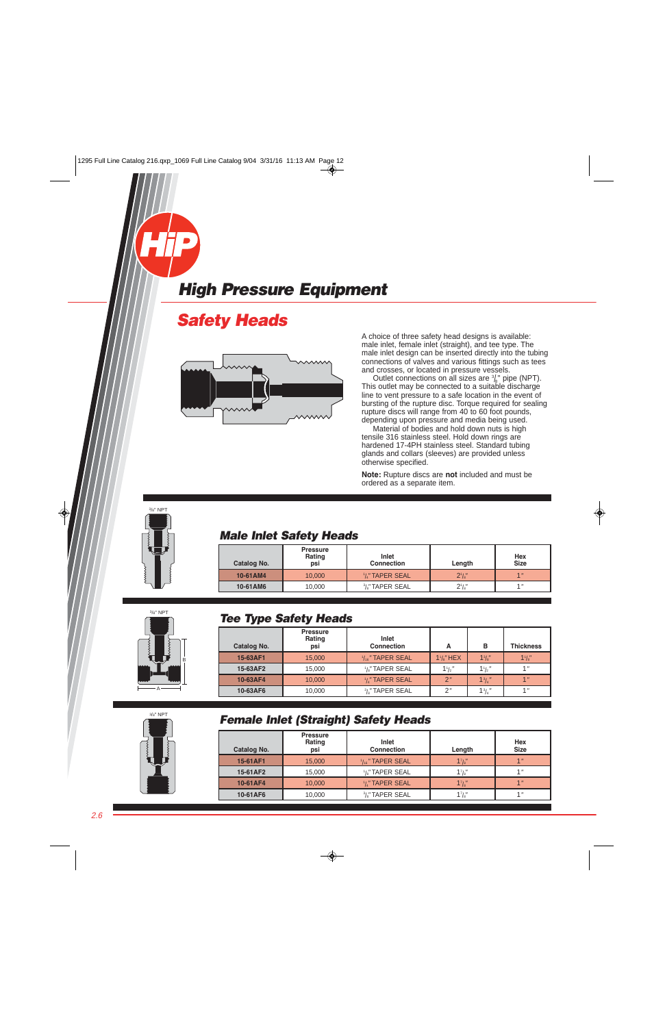### <span id="page-5-0"></span>**Safety Heads**



 A choice of three safety head designs is available: male inlet, female inlet (straight), and tee type. The male inlet design can be inserted directly into the tubing connections of valves and various fittings such as tees and crosses, or located in pressure vessels.

Outlet connections on all sizes are  $\frac{3}{8}$ " pipe (NPT). This outlet may be connected to a suitable discharge line to vent pressure to a safe location in the event of bursting of the rupture disc. Torque required for sealing rupture discs will range from 40 to 60 foot pounds, depending upon pressure and media being used.

 Material of bodies and hold down nuts is high tensile 316 stainless steel. Hold down rings are hardened 17-4PH stainless steel. Standard tubing glands and collars (sleeves) are provided unless otherwise specified.

 **Note:** Rupture discs are **not** included and must be ordered as a separate item.



#### **Male Inlet Safety Heads**

| <b>Catalog No.</b> | <b>Pressure</b><br>Rating<br>psi | Inlet<br><b>Connection</b>               | Length    | Hex<br><b>Size</b> |
|--------------------|----------------------------------|------------------------------------------|-----------|--------------------|
| 10-61AM4           | 10.000                           | $1/4$ " TAPER SEAL                       | $2^{1}/s$ | 4 <sup>''</sup>    |
| 10-61AM6           | 10,000                           | <sup>3</sup> / <sub>a</sub> " TAPER SEAL | $2^1/s''$ | 4 <sub>  </sub>    |



#### **Tee Type Safety Heads**

| Catalog No. | <b>Pressure</b><br>Rating<br>psi | Inlet<br><b>Connection</b>     | А                    | в                             | <b>Thickness</b> |
|-------------|----------------------------------|--------------------------------|----------------------|-------------------------------|------------------|
| 15-63AF1    | 15,000                           | $1/16$ TAPER SEAL              | $1\frac{1}{8}$ " HEX | $1^{3}/s''$                   | $1^{1}/s''$      |
| 15-63AF2    | 15,000                           | $1/$ <sub>s</sub> " TAPER SEAL | $1\frac{1}{2}$       | $1\frac{1}{2}$                | 4 <sub>II</sub>  |
| 10-63AF4    | 10,000                           | $1/4$ " TAPER SEAL             | 2"                   | 1 <sup>3</sup> / <sub>4</sub> | 4 <sub>II</sub>  |
| 10-63AF6    | 10,000                           | $\frac{3}{8}$ " TAPER SEAL     | 2''                  | $1\frac{3}{4}$ "              |                  |
|             |                                  |                                |                      |                               |                  |



### **Female Inlet (Straight) Safety Heads**

| <b>Pressure</b><br>Rating<br>psi | Inlet<br><b>Connection</b>  | Length      | Hex<br><b>Size</b> |
|----------------------------------|-----------------------------|-------------|--------------------|
| 15,000                           | $\frac{1}{16}$ " TAPER SEAL | $1^{7}/s$   | 1 <sup>''</sup>    |
| 15,000                           | <sup>1</sup> /s" TAPER SEAL | $1^7/s''$   | 1 <sup>''</sup>    |
| 10,000                           | $1/4$ " TAPER SEAL          | $1^{7}/s''$ | 4 <sup>''</sup>    |
| 10,000                           | $\frac{3}{8}$ " TAPER SEAL  | $1^7/s''$   | 4 <sub>  </sub>    |
|                                  |                             |             |                    |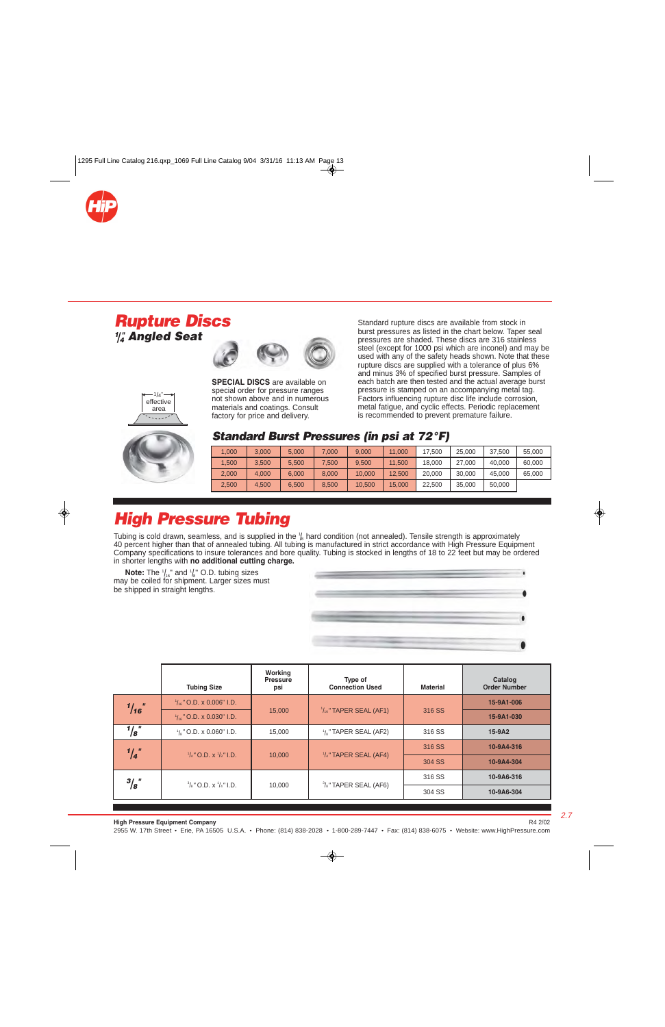<span id="page-6-0"></span>

### **Rupture Discs 1 /4 " Angled Seat**



 $1/4"$ effective area

**SPECIAL DISCS** are available on special order for pressure ranges not shown above and in numerous materials and coatings. Consult factory for price and delivery.

Standard rupture discs are available from stock in burst pressures as listed in the chart below. Taper seal pressures are shaded. These discs are 316 stainless steel (except for 1000 psi which are inconel) and may be used with any of the safety heads shown. Note that these rupture discs are supplied with a tolerance of plus 6% and minus 3% of specified burst pressure. Samples of each batch are then tested and the actual average burst pressure is stamped on an accompanying metal tag. Factors influencing rupture disc life include corrosion, metal fatigue, and cyclic effects. Periodic replacement is recommended to prevent premature failure.



#### **Standard Burst Pressures (in psi at 72°F)**

| 1.000 | 3.000 | 5.000 | 7.000 | 9.000  | 11.000 | 17.500 | 25.000 | 37.500 | 55,000 |
|-------|-------|-------|-------|--------|--------|--------|--------|--------|--------|
| 1.500 | 3.500 | 5.500 | 7.500 | 9.500  | 11.500 | 18,000 | 27,000 | 40.000 | 60.000 |
| 2,000 | 4.000 | 6.000 | 8.000 | 10.000 | 12.500 | 20.000 | 30.000 | 45.000 | 65,000 |
| 2,500 | 4.500 | 6.500 | 8.500 | 10.500 | 15,000 | 22.500 | 35.000 | 50,000 |        |

## **High Pressure Tubing**

Tubing is cold drawn, seamless, and is supplied in the  $\frac{1}{8}$  hard condition (not annealed). Tensile strength is approximately 40 percent higher than that of annealed tubing. All tubing is manufactured in strict accordance with High Pressure Equipment Company specifications to insure tolerances and bore quality. Tubing is stocked in lengths of 18 to 22 feet but may be ordered in shorter lengths with **no additional cutting charge.**

**Note:** The  $\frac{1}{16}$  and  $\frac{1}{8}$  O.D. tubing sizes may be coiled for shipment. Larger sizes must be shipped in straight lengths.



|                 | <b>Tubing Size</b>                          | Working<br><b>Pressure</b><br>psi | Type of<br><b>Connection Used</b> | <b>Material</b> | Catalog<br><b>Order Number</b> |
|-----------------|---------------------------------------------|-----------------------------------|-----------------------------------|-----------------|--------------------------------|
| $\frac{1}{16}$  | $\frac{1}{16}$ " O.D. x 0.006" I.D.         |                                   |                                   |                 | 15-9A1-006                     |
|                 | $\frac{1}{16}$ " O.D. x 0.030" I.D.         | 15,000                            | $\frac{1}{16}$ " TAPER SEAL (AF1) | 316 SS          | 15-9A1-030                     |
| $\frac{1}{8}$ " | $\frac{1}{8}$ " O.D. x 0.060" I.D.          | 15,000                            | $\frac{1}{8}$ " TAPER SEAL (AF2)  | 316 SS          | 15-9A2                         |
| $\frac{1}{4}$   |                                             |                                   |                                   | 316 SS          | 10-9A4-316                     |
|                 | $\frac{1}{4}$ " O.D. x $\frac{1}{8}$ " I.D. | 10,000                            | $\frac{1}{4}$ " TAPER SEAL (AF4)  | 304 SS          | 10-9A4-304                     |
| $^{3}/_{8}$ "   | $^{3}/_{8}$ " O.D. x $^{1}/_{4}$ " I.D.     |                                   |                                   | 316 SS          | 10-9A6-316                     |
|                 |                                             | 10,000                            | $\frac{3}{8}$ " TAPER SEAL (AF6)  | 304 SS          | 10-9A6-304                     |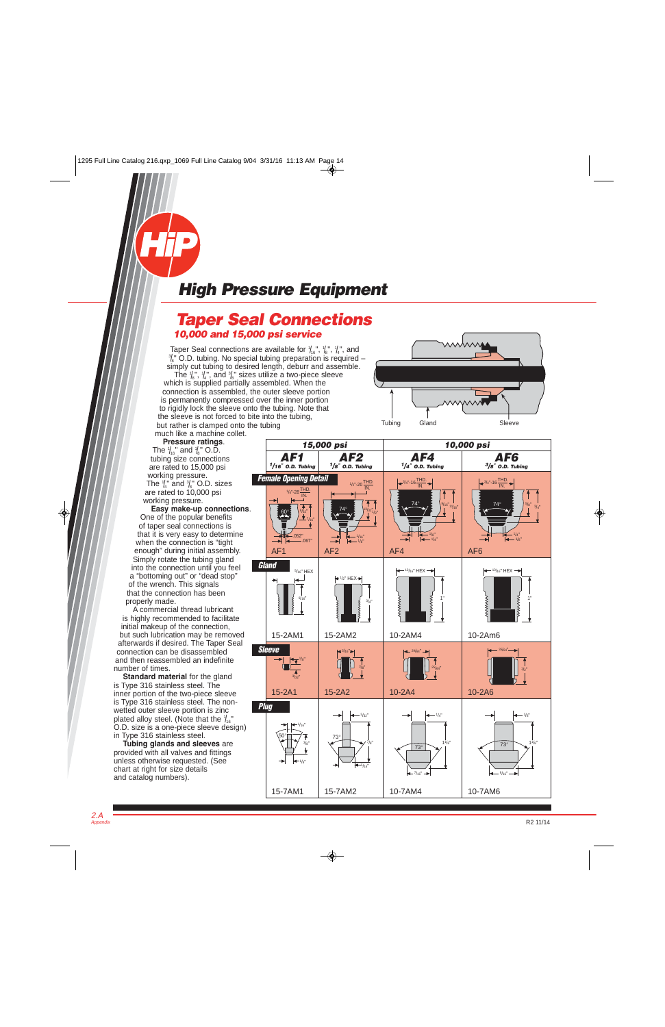### <span id="page-7-0"></span>**Taper Seal Connections 10,000 and 15,000 psi service**

Taper Seal connections are available for  $\mathcal{H}_6^s$ ,  $\mathcal{H}_8^s$ ,  $\mathcal{H}_4^s$ , and  $\mathcal{H}_5^s$  and  $\mathcal{H}_6^s$  $\frac{3}{8}$ " O.D. tubing. No special tubing preparation is required – simply cut tubing to desired length, deburr and assemble. The  $\frac{1}{6}$ ,  $\frac{1}{4}$ ,  $\frac{1}{4}$ , and  $\frac{3}{8}$  sizes utilize a two-piece sleeve which is supplied partially assembled. When the connection is assembled, the outer sleeve portion is permanently compressed over the inner portion to rigidly lock the sleeve onto the tubing. Note that the sleeve is not forced to bite into the tubing, but rather is clamped onto the tubing

Tubing Gland Sleeve

much like a machine collet. **Pressure ratings**. The  $\frac{1}{16}$ " and  $\frac{1}{8}$ " O.D. tubing size connections are rated to 15,000 psi working pressure. The  $\frac{1}{4}$ " and  $\frac{3}{8}$ " O.D. sizes are rated to 10,000 psi working pressure.

**Easy make-up connections**. One of the popular benefits of taper seal connections is that it is very easy to determine when the connection is "tight enough" during initial assembly. Simply rotate the tubing gland into the connection until you feel a "bottoming out" or "dead stop" of the wrench. This signals that the connection has been properly made.

A commercial thread lubricant is highly recommended to facilitate initial makeup of the connection, but such lubrication may be removed afterwards if desired. The Taper Seal connection can be disassembled and then reassembled an indefinite number of times.

**Standard material** for the gland is Type 316 stainless steel. The inner portion of the two-piece sleeve is Type 316 stainless steel. The nonwetted outer sleeve portion is zinc plated alloy steel. (Note that the  $\frac{1}{16}$ " O.D. size is a one-piece sleeve design) in Type 316 stainless steel.

**Tubing glands and sleeves** are provided with all valves and fittings unless otherwise requested. (See chart at right for size details and catalog numbers).

2.A Appendix

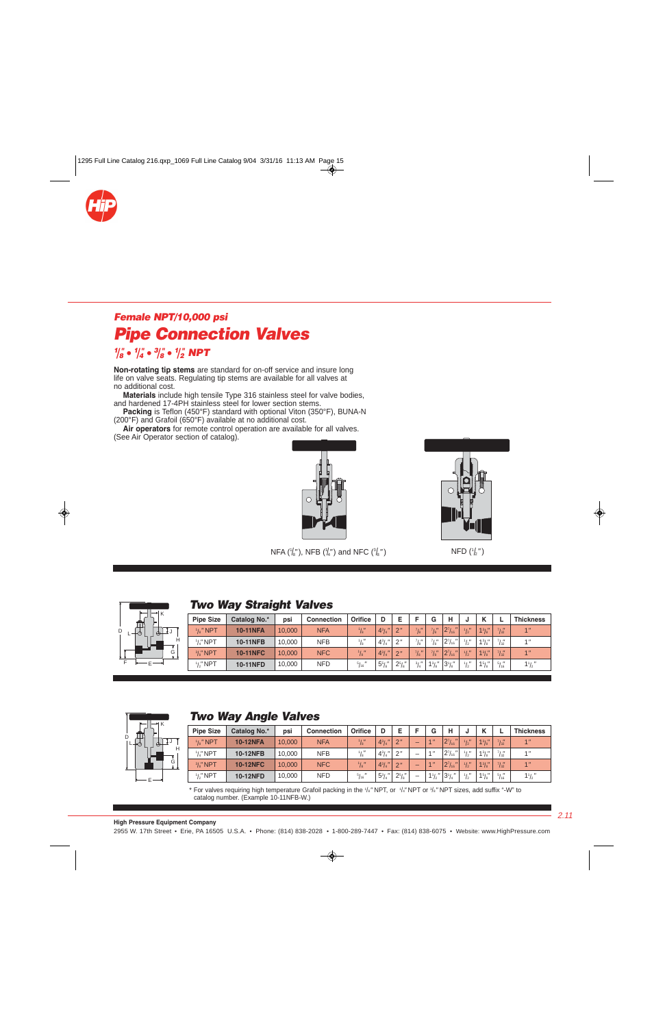<span id="page-8-0"></span>

## **Female NPT/10,000 psi Pipe Connection Valves**

#### **1 /8 " • <sup>1</sup> /4 " • <sup>3</sup> /8 " • <sup>1</sup> /2 " NPT**

**Non-rotating tip stems** are standard for on-off service and insure long life on valve seats. Regulating tip stems are available for all valves at no additional cost.

**Materials** include high tensile Type 316 stainless steel for valve bodies, and hardened 17-4PH stainless steel for lower section stems.

**Packing** is Teflon (450°F) standard with optional Viton (350°F), BUNA-N (200°F) and Grafoil (650°F) available at no additional cost.

**Air operators** for remote control operation are available for all valves. (See Air Operator section of catalog).





NFA ( $\frac{1}{8}$ "), NFB ( $\frac{1}{4}$ ") and NFC ( $\frac{3}{8}$ 

 $\mathsf{NFD}(\frac{1}{2})$   $\mathsf{NFD}(\frac{1}{2})$ 



#### **Two Way Straight Valves**

| <b>Pipe Size</b>    | Catalog No.*    | psi    | <b>Connection</b> | Orifice        | D              | E              |               | G                          | н                                  |               | v           |                   | <b>Thickness</b> |
|---------------------|-----------------|--------|-------------------|----------------|----------------|----------------|---------------|----------------------------|------------------------------------|---------------|-------------|-------------------|------------------|
| $\frac{1}{8}$ " NPT | <b>10-11NFA</b> | 10,000 | <b>NFA</b>        | $^{1}/_{8}$ "  | $4^{3}/_{4}$ " | 2 <sup>n</sup> | 7/8"          | $^7/8$                     | $2^{7}/_{16}$<br>$\mathbf{u}$      | $\frac{1}{2}$ | $1^{3}/s''$ | $\frac{7}{32}$    | 1 <sup>n</sup>   |
| $\frac{1}{4}$ " NPT | <b>10-11NFB</b> | 10.000 | <b>NFB</b>        | $^{1}/_{8}''$  | $4^{3}/_{4}$   | 2"             | $71$ H        | ' ו י<br>'s                | $^{\prime\prime}$<br>$2^{7}/_{16}$ | 1/1           | $1^{3}/s''$ | $7/$ $\mu$<br>132 | 1 <sup>''</sup>  |
| $\frac{3}{8}$ " NPT | <b>10-11NFC</b> | 10.000 | <b>NFC</b>        | $\frac{1}{8}$  | $4^{3}/_{4}$ " | 2"             | 71H           | $^7$ / $_8^{\prime\prime}$ | $2^7/16$<br>$\mathbf{u}$           | $^{1}/_{2}''$ | $1^{3}/s''$ | $^{7}/_{32}$      | 1 <sup>n</sup>   |
| $\frac{1}{2}$ " NPT | 10-11NFD        | 10.000 | <b>NFD</b>        | $^{5}/_{16}$ " | $5^{5}/s''$    | $2^{5}/s''$    | $^{3}/_{4}''$ | $1^{3}/s''$                | $3^{1}/s''$                        | 1/            | 15/8        | $5/$ $\mu$<br>116 | $1\frac{1}{2}$   |



#### **Two Way Angle Valves**

| <b>Pipe Size</b>    | Catalog No.*    | psi    | <b>Connection</b> | Orifice       | D            | F              |                          | G               | н                                  |               |             |                  | <b>Thickness</b> |
|---------------------|-----------------|--------|-------------------|---------------|--------------|----------------|--------------------------|-----------------|------------------------------------|---------------|-------------|------------------|------------------|
| $\frac{1}{8}$ " NPT | <b>10-12NFA</b> | 10,000 | <b>NFA</b>        | $\frac{1}{8}$ | $4^{3}/_{4}$ | 2 <sup>n</sup> | -                        | $A$ $II$        | $2^{7}/_{16}$                      | 1/1           | $1^{3}/s''$ | 71 <sub>ii</sub> | 1 <sup>n</sup>   |
| $1/4$ " NPT         | <b>10-12NFB</b> | 10,000 | <b>NFB</b>        | $\frac{1}{8}$ | $4^{3}/_{4}$ | 2"             | $\overline{\phantom{a}}$ | 4 <sub>  </sub> | $^{\prime\prime}$<br>$2^{7}/_{16}$ | 1, n          | $1^{3}/s''$ | 71 <sub>1</sub>  | 1 <sup>11</sup>  |
| $\frac{3}{8}$ " NPT | <b>10-12NFC</b> | 10,000 | <b>NFC</b>        | $^{1}/_{8}$ " | $4^{3}/_{4}$ | 2 <sup>n</sup> | -                        | $A$ $\mu$       | $\mathbf{u}$<br>$2^{7}/_{16}$      | $\frac{1}{2}$ | $1^{3}/s''$ | $\frac{7}{32}$   | 1 <sup>n</sup>   |
| $\frac{1}{2}$ " NPT | <b>10-12NFD</b> | 10.000 | <b>NFD</b>        | $^{5}/_{16}$  | $5^{3}/_{4}$ | $2^{5}/s''$    | -                        | $1\frac{1}{2}$  | $3^{1}/_{4}$ "                     | 1/1           | 15/8"       | $5/$ $\mu$       | $1\frac{1}{2}$   |

\* For valves requiring high temperature Grafoil packing in the 1/<sub>8</sub>" NPT, or 1/<sub>4</sub>" NPT or 3/<sub>8</sub>" NPT sizes, add suffix "-W" to catalog number. (Example 10-11NFB-W.)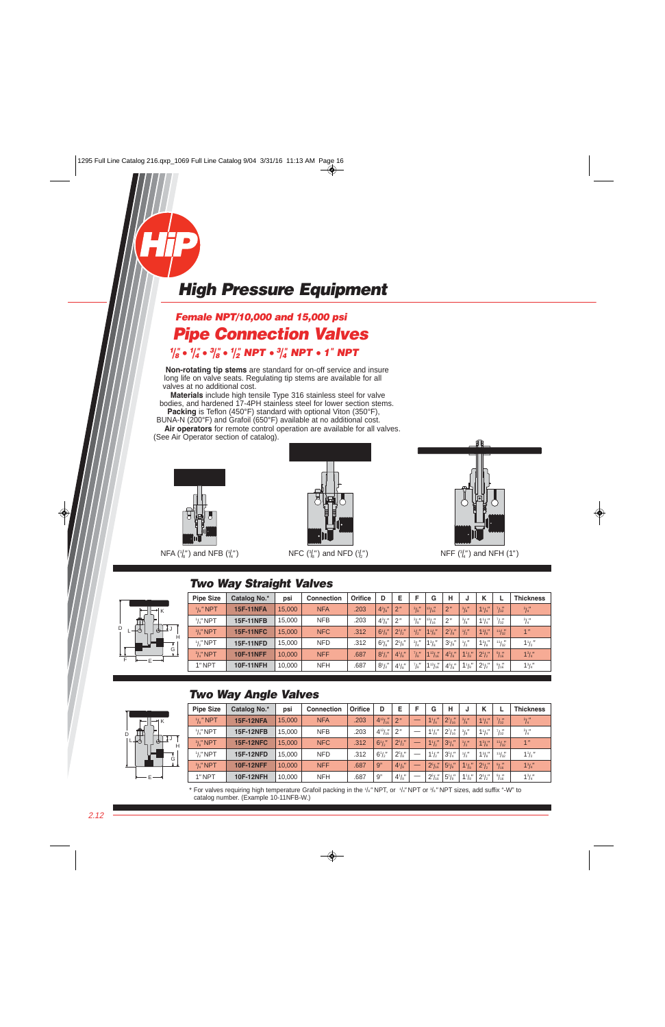

### **Female NPT/10,000 and 15,000 psi Pipe Connection Valves**

 $\frac{1}{8}$   $\bullet$   $\frac{1}{4}$   $\bullet$   $\frac{3}{8}$   $\bullet$   $\frac{1}{2}$  NPT  $\bullet$   $\frac{3}{4}$  NPT  $\bullet$  1" NPT **Non-rotating tip stems** are standard for on-off service and insure

long life on valve seats. Regulating tip stems are available for all valves at no additional cost.

**Materials** include high tensile Type 316 stainless steel for valve bodies, and hardened 17-4PH stainless steel for lower section stems. **Packing** is Teflon (450°F) standard with optional Viton (350°F),

BUNA-N (200°F) and Grafoil (650°F) available at no additional cost. **Air operators** for remote control operation are available for all valves.

(See Air Operator section of catalog).



NFA ( $\frac{1}{8}$ ") and NFB ( $\frac{1}{4}$ "



 $\mathsf{NFC} \left( \frac{3}{8} \right)$  and  $\mathsf{NFD} \left( \frac{1}{2} \right)$ 



 $NFF\left(\frac{3}{4}\right)$  and NFH (1")

#### **Two Way Straight Valves**

|   | K            |
|---|--------------|
|   |              |
| D | ₫J<br>⋔<br>Æ |
|   | Н            |
|   | $\vec{c}$    |
| F |              |

| <b>Pipe Size</b>    | Catalog No.*     | psi    | <b>Connection</b> | <b>Orifice</b> | D                 | E              | Е                 | G           | н              | u              | κ            |                       | <b>Thickness</b> |
|---------------------|------------------|--------|-------------------|----------------|-------------------|----------------|-------------------|-------------|----------------|----------------|--------------|-----------------------|------------------|
| $\frac{1}{8}$ " NPT | <b>15F-11NFA</b> | 15,000 | <b>NFA</b>        | .203           | $4^{3}/^{''}$     | 2 <sup>n</sup> | $^{3}/_{8}$ "     | 13/16       | 2 <sup>n</sup> | $^{3}/_{8}$ "  | $1^{1}/4$    | $^{7}/_{32}$          | $^{3}/_{4}''$    |
| $1/x''$ NPT         | <b>15F-11NFB</b> | 15.000 | <b>NFB</b>        | .203           | $4^{3}/^{''}_{8}$ | 2''            | $^{3}/_{8}''$     | 13/16       | 2"             | $^{3}/_{8}''$  | $1^{1}/_{4}$ | $^{7}/_{32}''$        | $^{3}/_{4}''$    |
| $\frac{3}{6}$ " NPT | <b>15F-11NFC</b> | 15.000 | <b>NFC</b>        | .312           | $6^{1}/s$         | $2^{1}/2''$    | $\frac{1}{2}$     | $1^{1}/s''$ | $2^{7}/s''$    | $\frac{1}{2}$  | $1^{3}/s''$  | $\frac{11}{32}$       | 1 <sup>n</sup>   |
| $1/s''$ NPT         | <b>15F-11NFD</b> | 15.000 | <b>NFD</b>        | .312           | $6^{3}/s''$       | $2^{5}/s''$    | $^{3}/_{4}$ "     | $1^{3}/s''$ | $3^{1}/s''$    | $\frac{1}{2}$  | $1^{3}/s''$  | $^{11}/\frac{17}{32}$ | $1\frac{1}{2}$   |
| $\frac{3}{4}$ " NPT | <b>10F-11NFF</b> | 10.000 | <b>NFF</b>        | .687           | $8^{1}/2$         | $4^{1}/s''$    | $^{7}/\mathrm{s}$ | $1^{13}/16$ | $4^{5}/s''$    | $1^{1}/s''$    | $2^{1}/2''$  | $\frac{9}{16}$        | $1^3/4''$        |
| 1" NPT              | <b>10F-11NFH</b> | 10,000 | <b>NFH</b>        | .687           | $8^{1}/2$         | $4^{1}/s''$    | $^{7}/_{8}$ "     | $1^{13}/16$ | $4^{5}/_{8}$ " | $1\frac{1}{8}$ | $2^{1}/2$    | $\frac{9}{16}$        | $1^{3}/_{4}$     |

#### **Two Way Angle Valves**



| <b>Pipe Size</b>    | Catalog No.*     | psi    | <b>Connection</b> | <b>Orifice</b> | D                     | Е           | F | G             | н              | J              | К              |                 | <b>Thickness</b> |
|---------------------|------------------|--------|-------------------|----------------|-----------------------|-------------|---|---------------|----------------|----------------|----------------|-----------------|------------------|
| $\frac{1}{8}$ " NPT | <b>15F-12NFA</b> | 15,000 | <b>NFA</b>        | .203           | $4^{13}/\frac{1}{16}$ | 2"          |   | $1^{1}/4$     | $2^{7}/_{16}$  | $^{3}/_{8}$ "  | $1^{1}/4$      | $^{7}/_{32}$    | $^{3}/_{4}''$    |
| $\frac{1}{4}$ " NPT | <b>15F-12NFB</b> | 15.000 | <b>NFB</b>        | .203           | $4^{13}/_{16}$        | 2"          |   | $1^{1}/4$     | $2^{7}/_{16}$  | $^{3}/_{8}$ "  | $1^{1}/_{4}$ " | $^{7}/_{32}$    | $^{3}/_{4}''$    |
| $\frac{3}{8}$ " NPT | <b>15F-12NFC</b> | 15,000 | <b>NFC</b>        | .312           | $6^{1}/2$             | $2^{1}/2''$ | – | $1^{1}/2$     | $3^{1}/4$      | $\frac{1}{2}$  | $1^{3}/s''$    | $\frac{11}{32}$ | 1 <sup>n</sup>   |
| $1/3$ " NPT         | <b>15F-12NFD</b> | 15.000 | <b>NFD</b>        | .312           | $6^{1}/_{2}$ "        | $2^{5}/s''$ |   | $1^{1}/2$     | $3^{1}/_{4}$ " | $\frac{1}{2}$  | $1^{3}/8$      | $\frac{11}{32}$ | $1\frac{1}{2}$   |
| $\frac{3}{4}$ " NPT | <b>10F-12NFF</b> | 10.000 | <b>NFF</b>        | .687           | 9"                    | $4^{1}/s''$ | _ | $2^{5}/_{16}$ | $5^{1}/s''$    | $1^{1}/s''$    | $2^{1}/2''$    | $\frac{9}{16}$  | $1^3/4''$        |
| 1" NPT              | <b>10F-12NFH</b> | 10.000 | <b>NFH</b>        | .687           | 9"                    | $4^{1}/s''$ |   | $2^{5}/_{16}$ | $5\frac{1}{8}$ | $1\frac{1}{8}$ | $2^{1}/2''$    | $\frac{9}{16}$  | $1^3/4''$        |

\* For valves requiring high temperature Grafoil packing in the 1/<sub>8</sub>" NPT, or 1/<sub>4</sub>" NPT or 3/<sub>8</sub>" NPT sizes, add suffix "-W" to catalog number. (Example 10-11NFB-W.)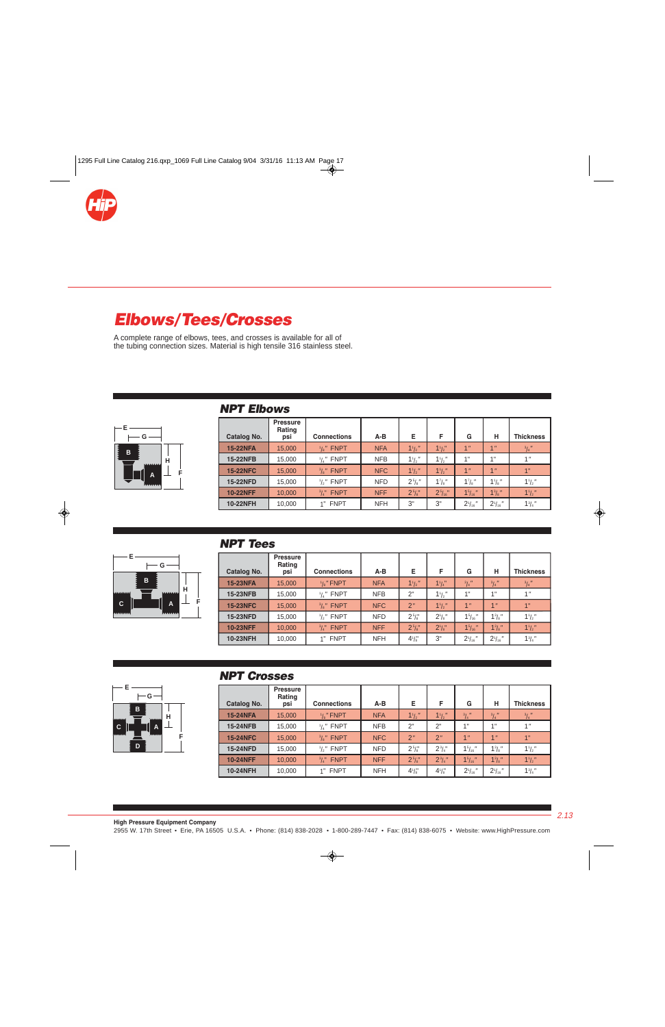<span id="page-10-0"></span>

# **Elbows/Tees/Crosses**

A complete range of elbows, tees, and crosses is available for all of the tubing connection sizes. Material is high tensile 316 stainless steel.

| $\leftarrow$ E $\leftarrow$<br>G |                |
|----------------------------------|----------------|
| в                                | $\overline{H}$ |
| ٨                                | F              |

#### **NPT Elbows**

|                 | <b>Pressure</b><br>Rating |                                 |            |             |                        |                 |                 |                  |
|-----------------|---------------------------|---------------------------------|------------|-------------|------------------------|-----------------|-----------------|------------------|
| Catalog No.     | psi                       | <b>Connections</b>              | $A-B$      | Е           | F                      | G               | н               | <b>Thickness</b> |
| <b>15-22NFA</b> | 15,000                    | $\frac{1}{8}$ " FNPT            | <b>NFA</b> | $1^{1}/2$   | $1^{1}/2$              | 1 <sup>''</sup> | 1 <sup>n</sup>  | $^{3}/_{4}$ "    |
| 15-22NFB        | 15,000                    | <b>FNPT</b><br>$^{1}/_{4}$ $''$ | <b>NFB</b> | $1^{1}/2$   | $1^{1}/2$              | 1"              | 4 <sub>  </sub> | 1 <sup>''</sup>  |
| <b>15-22NFC</b> | 15,000                    | $\frac{3}{8}$ " FNPT            | <b>NFC</b> | $1^{1}/2$   | $1^{1}/2$              | 1 <sup>''</sup> | 1 <sup>11</sup> | 1"               |
| <b>15-22NFD</b> | 15,000                    | <b>FNPT</b><br>$\frac{1}{2}$    | <b>NFD</b> | $2^{5}/s$ " | $1^7$ / <sub>8</sub> " | $1^7$ /s"       | $1\frac{1}{8}$  | $1\frac{1}{2}$   |
| <b>10-22NFF</b> | 10,000                    | <b>FNPT</b><br>$^{3}/_{4}$ "    | <b>NFF</b> | 25/8"       | 25/16"                 | 15/16           | $1^{3}/s$ "     | 11/2             |
| <b>10-22NFH</b> | 10,000                    | <b>FNPT</b>                     | <b>NFH</b> | 3"          | 3"                     | $2^{1}/_{16}$ " | $2^{1}/_{16}$ " | $1^{3}/_{4}$ "   |

#### **NPT Tees**



| Catalog No.     | <b>Pressure</b><br>Rating<br>psi | <b>Connections</b>           | $A-B$      | Е              | F              | G                  | н               | <b>Thickness</b> |
|-----------------|----------------------------------|------------------------------|------------|----------------|----------------|--------------------|-----------------|------------------|
| <b>15-23NFA</b> | 15,000                           | $\frac{1}{8}$ " FNPT         | <b>NFA</b> | $1\frac{1}{2}$ | 11/4           | $^{3}/_{4}$ "      | $^{3}/_{4}$ "   | $\frac{3}{4}$    |
| <b>15-23NFB</b> | 15,000                           | $\frac{1}{4}$ " FNPT         | <b>NFB</b> | 2"             | $1\frac{1}{2}$ | 1"                 | 1"              | 1 <sup>''</sup>  |
| <b>15-23NFC</b> | 15,000                           | $\frac{3}{8}$ " FNPT         | <b>NFC</b> | 2"             | $1^{1}/2$      | 1 <sup>n</sup>     | 1 <sup>''</sup> | 1"               |
| <b>15-23NFD</b> | 15,000                           | $\frac{1}{2}$ " FNPT         | <b>NFD</b> | $2^{5}/\!$     | $2^1/s''$      | 1 <sup>5</sup> /16 | $1^{3}/8$ "     | $1\frac{1}{2}$   |
| <b>10-23NFF</b> | 10,000                           | <b>FNPT</b><br>$^{3}/_{4}$ " | <b>NFF</b> | $2^{5}/s''$    | $2^{1}/s$ "    | 1 <sup>5</sup> /16 | $1^{3}/s''$     | $1^{1}/2$        |
| <b>10-23NFH</b> | 10,000                           | <b>FNPT</b><br>4"            | <b>NFH</b> | $4\frac{1}{8}$ | 3"             | $2^{1}/_{16}$ "    | $2^1/16''$      | $1\frac{3}{4}$ " |



#### **NPT Crosses**

|                 | <b>Pressure</b><br>Rating |                              |            |                |                |                 |                 |                  |
|-----------------|---------------------------|------------------------------|------------|----------------|----------------|-----------------|-----------------|------------------|
| Catalog No.     | psi                       | <b>Connections</b>           | A-B        | Е              | F              | G               | н               | <b>Thickness</b> |
| <b>15-24NFA</b> | 15,000                    | $\frac{1}{8}$ " FNPT         | <b>NFA</b> | $1\frac{1}{2}$ | $1\frac{1}{2}$ | $^{3}/_{4}$ "   | $^{3}/_{4}$ "   | $^{3}/_{4}$ "    |
| 15-24NFB        | 15,000                    | $\frac{1}{4}$ " FNPT         | <b>NFB</b> | 2"             | 2"             | 1"              | 4"              | 1 <sup>''</sup>  |
| <b>15-24NFC</b> | 15,000                    | $\frac{3}{8}$ " FNPT         | <b>NFC</b> | 2"             | 2"             | 1 <sup>n</sup>  | 1 <sup>''</sup> | 1"               |
| 15-24NFD        | 15,000                    | $\frac{1}{2}$ " FNPT         | <b>NFD</b> | $2^{5}/s$      | $2^{3}/4$ "    | $15/16$ "       | $1^{3}/8$ "     | $1^{1}/2$        |
| <b>10-24NFF</b> | 10,000                    | <b>FNPT</b><br>$^{3}/_{4}$ " | <b>NFF</b> | $2^{5}/s''$    | $2^{3}/4''$    | $15/16$ "       | $1^{3}/8$ "     | $1^{1}/2$        |
| <b>10-24NFH</b> | 10,000                    | <b>FNPT</b>                  | <b>NFH</b> | $4^{1}/_{8}$   | $4^{1}/^{''}$  | $2^{1}/_{16}$ " | $2^1/16''$      | $1\frac{3}{4}$ " |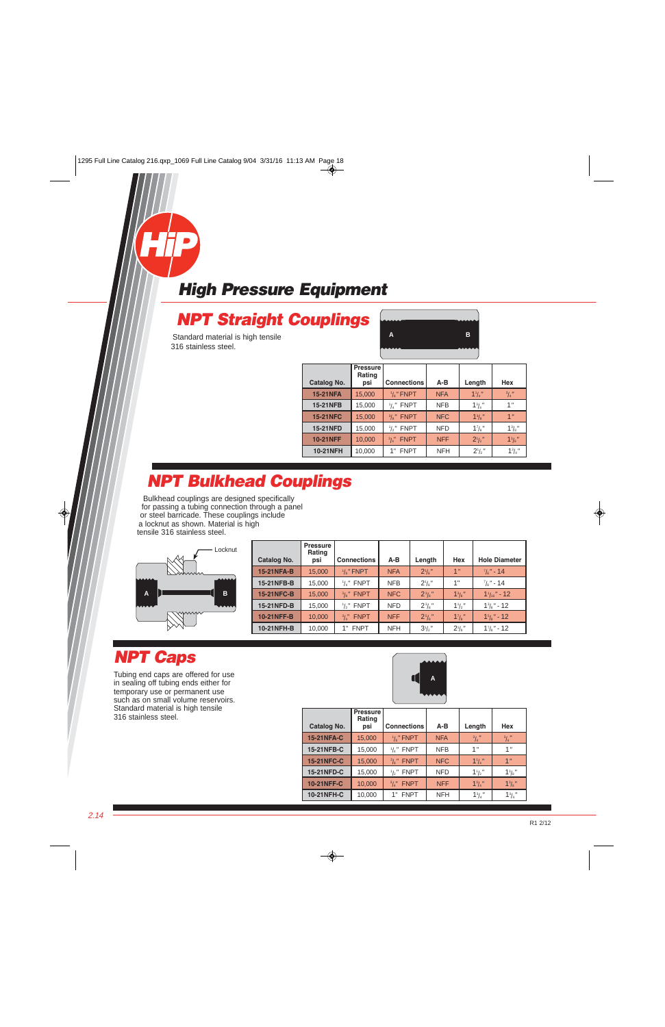# <span id="page-11-0"></span>**NPT Straight Couplings**

Standard material is high tensile 316 stainless steel.



| Catalog No.     | <b>Pressure</b><br>Rating<br>psi | <b>Connections</b>           | A-B        | Length                 | Hex              |
|-----------------|----------------------------------|------------------------------|------------|------------------------|------------------|
| <b>15-21NFA</b> | 15,000                           | $\frac{1}{8}$ " FNPT         | <b>NFA</b> | $1^{1}/4$              | $^{3}/_{4}$ "    |
| <b>15-21NFB</b> | 15,000                           | $\frac{1}{4}$ " FNPT         | <b>NFB</b> | $1^{3}/_{4}$ "         | 1 <sup>''</sup>  |
| <b>15-21NFC</b> | 15,000                           | $\frac{3}{8}$ " FNPT         | <b>NFC</b> | $1^{3}/8$ "            | 1 <sup>n</sup>   |
| <b>15-21NFD</b> | 15,000                           | $1/2$ FNPT                   | <b>NFD</b> | $1^7$ / <sub>8</sub> " | $1\frac{3}{8}$ " |
| <b>10-21NFF</b> | 10,000                           | <b>FNPT</b><br>$^{3}/_{4}$ " | <b>NFF</b> | $2^{1/2}$              | $1^{3}/8$        |
| <b>10-21NFH</b> | 10,000                           | <b>FNPT</b><br>1"            | <b>NFH</b> | $2^1/2$                | $1\frac{3}{4}$ " |

# **NPT Bulkhead Couplings**

Bulkhead couplings are designed specifically for passing a tubing connection through a panel or steel barricade. These couplings include a locknut as shown. Material is high tensile 316 stainless steel.



| <b>Catalog No.</b> | <b>Pressure</b><br>Rating<br>psi | <b>Connections</b>   | $A-B$      | Length           | Hex                | <b>Hole Diameter</b>      |
|--------------------|----------------------------------|----------------------|------------|------------------|--------------------|---------------------------|
| <b>15-21NFA-B</b>  | 15,000                           | $\frac{1}{8}$ " FNPT | <b>NFA</b> | $2^1/s''$        | 1 <sup>n</sup>     | $\frac{7}{8}$ " - 14      |
| 15-21NFB-B         | 15,000                           | $\frac{1}{4}$ " FNPT | <b>NFB</b> | $2^1/s''$        | 1"                 | $\frac{7}{8}$ " - 14      |
| <b>15-21NFC-B</b>  | 15,000                           | $\frac{3}{2}$ " FNPT | <b>NFC</b> | $2^{3}/s$        | $1^{3}/8$          | $1'_{16}$ " - 12          |
| 15-21NFD-B         | 15,000                           | $1/2$ ," FNPT        | <b>NFD</b> | $2\frac{3}{8}$ " | $1\frac{1}{2}$     | $1^{3}/\mathrm{s}$ " - 12 |
| <b>10-21NFF-B</b>  | 10,000                           | $3/\mu$ " FNPT       | <b>NFF</b> | $2^{5}/a''$      | $1^{7}/\mathrm{s}$ | $15\frac{1}{2}$ " - 12    |
| 10-21NFH-B         | 10,000                           | 1" FNPT              | <b>NFH</b> | $3^{1}/2$ "      | $2^{\frac{1}{8}}$  | $1\frac{7}{8}$ " - 12     |

## **NPT Caps**

Tubing end caps are offered for use in sealing off tubing ends either for temporary use or permanent use such as on small volume reservoirs. Standard material is high tensile 316 stainless steel.



| Catalog No.       | <b>Pressure</b><br>Rating<br>psi | <b>Connections</b>           | $A-B$      | Length          | Hex              |
|-------------------|----------------------------------|------------------------------|------------|-----------------|------------------|
| <b>15-21NFA-C</b> | 15,000                           | $\frac{1}{8}$ " FNPT         | <b>NFA</b> | $^{3}/_{4}$ "   | $^{3}/_{4}$ "    |
| 15-21NFB-C        | 15,000                           | $\frac{1}{4}$ " FNPT         | <b>NFB</b> | 1 <sup>''</sup> | 1 <sup>''</sup>  |
| <b>15-21NFC-C</b> | 15,000                           | $\frac{3}{8}$ " FNPT         | <b>NFC</b> | $1^{1}/a''$     | 1 <sup>n</sup>   |
| 15-21NFD-C        | 15,000                           | $\frac{1}{2}$ " FNPT         | <b>NFD</b> | $1\frac{1}{2}$  | $1^{3}/8$ "      |
| <b>10-21NFF-C</b> | 10,000                           | <b>FNPT</b><br>$^{3}/_{4}$ " | <b>NFF</b> | $1^{3}/_{4}$ "  | $1^{3}/s$ "      |
| 10-21NFH-C        | 10,000                           | <b>FNPT</b>                  | <b>NFH</b> | $1^{3}/_{4}$ "  | $1\frac{3}{4}$ " |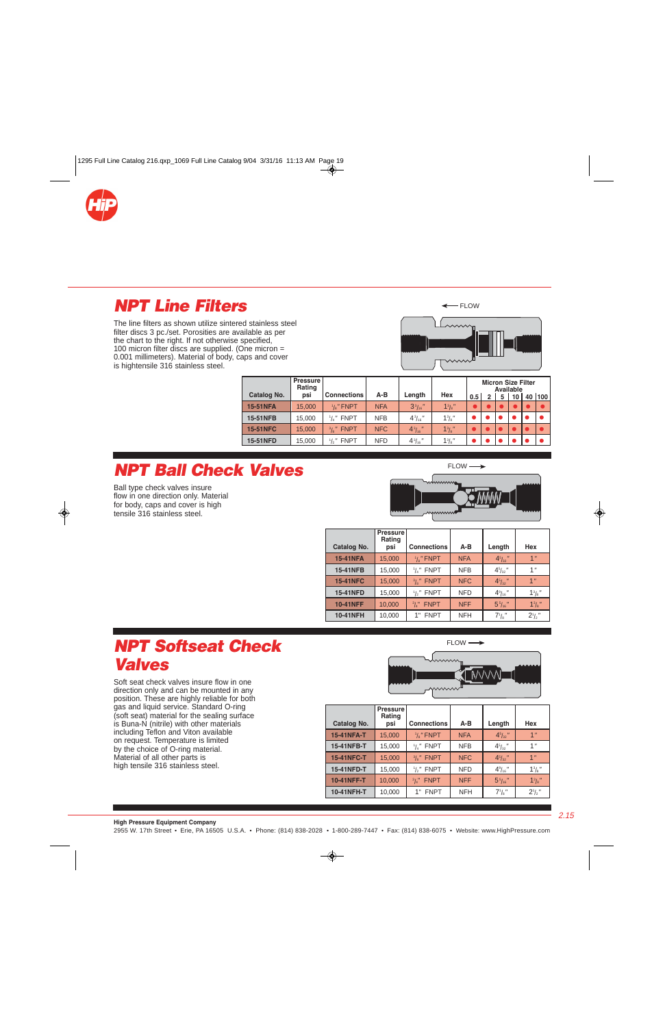<span id="page-12-0"></span>

### **NPT Line Filters**

The line filters as shown utilize sintered stainless steel filter discs 3 pc./set. Porosities are available as per the chart to the right. If not otherwise specified, 100 micron filter discs are supplied. (One micron = 0.001 millimeters). Material of body, caps and cover is hightensile 316 stainless steel.





|                 | <b>Pressure</b><br>Rating |                              |            |                    |                  | <b>Micron Size Filter</b><br>Available |  |   |    |  |        |
|-----------------|---------------------------|------------------------------|------------|--------------------|------------------|----------------------------------------|--|---|----|--|--------|
| Catalog No.     | psi                       | <b>Connections</b>           | A-B        | Length             | Hex              | 0.5                                    |  | 5 | 10 |  | 40 100 |
| <b>15-51NFA</b> | 15,000                    | $\frac{1}{8}$ " FNPT         | <b>NFA</b> | 3 <sup>3</sup> /16 | $1^{3}/s''$      |                                        |  |   |    |  |        |
| <b>15-51NFB</b> | 15,000                    | $\frac{1}{4}$ " FNPT         | <b>NFB</b> | $4^{3}/_{16}$ "    | $1^{3}/8$ "      |                                        |  |   |    |  |        |
| <b>15-51NFC</b> | 15,000                    | $\frac{3}{8}$ " FNPT         | <b>NFC</b> | $4^{3}/_{16}$ "    | $1^{3}/8$ "      |                                        |  |   |    |  |        |
| <b>15-51NFD</b> | 15,000                    | <b>FNPT</b><br>$\frac{1}{2}$ | <b>NFD</b> | $4\frac{3}{16}$ "  | $1\frac{3}{8}$ " |                                        |  |   |    |  |        |

### **NPT Ball Check Valves**

Ball type check valves insure flow in one direction only. Material for body, caps and cover is high tensile 316 stainless steel.



FLOW  $\longrightarrow$ 

| Catalog No.     | <b>Pressure</b><br>Rating<br>psi | <b>Connections</b>           | A-B        | Length               | Hex             |
|-----------------|----------------------------------|------------------------------|------------|----------------------|-----------------|
| <b>15-41NFA</b> | 15,000                           | $\frac{1}{8}$ " FNPT         | <b>NFA</b> | $4^{5}/_{32}$ "      | 1 <sup>''</sup> |
| 15-41NFB        | 15,000                           | $\frac{1}{4}$ " FNPT         | <b>NFB</b> | $4^{5}/_{32}$ "      | 1 <sup>''</sup> |
| <b>15-41NFC</b> | 15,000                           | $\frac{3}{8}$ " FNPT         | <b>NFC</b> | $4^{5}/_{32}$ "      | 1 <sup>n</sup>  |
| 15-41NFD        | 15,000                           | $\frac{1}{2}$ " FNPT         | <b>NFD</b> | $4\frac{9}{16}$ "    | $1^{3}/3''$     |
| <b>10-41NFF</b> | 10,000                           | <b>FNPT</b><br>$^{3}/_{4}$ " | <b>NFF</b> | 5 <sup>5</sup> /16'' | $13/8$ "        |
| <b>10-41NFH</b> | 10,000                           | <b>FNPT</b>                  | <b>NFH</b> | $7^{1}/\text{s}$ "   | $2^1/2''$       |

### **NPT Softseat Check Valves**

Soft seat check valves insure flow in one direction only and can be mounted in any position. These are highly reliable for both gas and liquid service. Standard O-ring (soft seat) material for the sealing surface is Buna-N (nitrile) with other materials including Teflon and Viton available on request. Temperature is limited by the choice of O-ring material. Material of all other parts is high tensile 316 stainless steel.



| Catalog No.       | Pressure<br>Rating<br>psi | <b>Connections</b>              | $A-B$      | Length               | Hex             |
|-------------------|---------------------------|---------------------------------|------------|----------------------|-----------------|
| <b>15-41NFA-T</b> | 15,000                    | $\frac{1}{8}$ " FNPT            | <b>NFA</b> | $4^{5}/_{32}$ "      | 1 <sup>n</sup>  |
| 15-41NFB-T        | 15,000                    | <b>FNPT</b><br>$^{1}/_{4}$ $''$ | <b>NFB</b> | 45/32                | 1"              |
| <b>15-41NFC-T</b> | 15,000                    | $\frac{3}{8}$ " FNPT            | <b>NFC</b> | $4^{5}/_{32}$ "      | 1 <sup>''</sup> |
| 15-41NFD-T        | 15,000                    | <b>FNPT</b><br>$\frac{1}{2}$    | <b>NFD</b> | $4\frac{9}{16}$ "    | $1^{3}/8$ "     |
| <b>10-41NFF-T</b> | 10,000                    | <b>FNPT</b><br>$^{3}/_{4}$ "    | <b>NFF</b> | 5 <sup>5</sup> /16'' | $1^{3}/s$ "     |
| 10-41NFH-T        | 10,000                    | <b>FNPT</b>                     | <b>NFH</b> | $7^{\frac{1}{8}}$    | $2^1/2''$       |